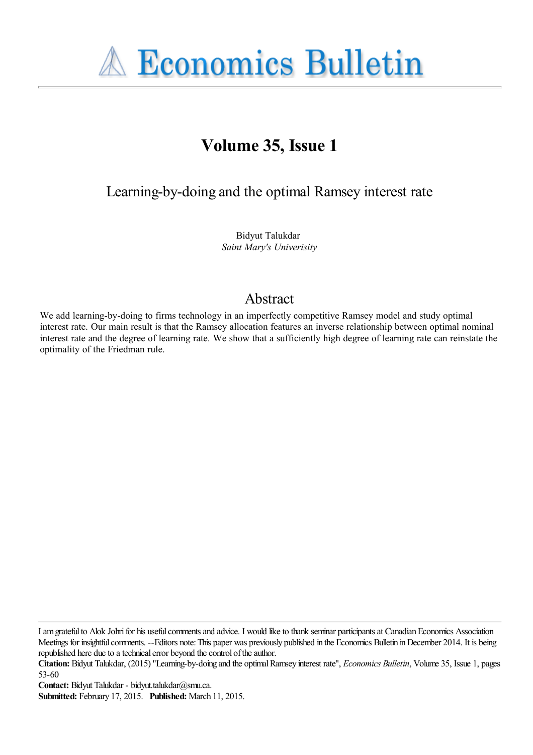**A Economics Bulletin** 

# **Volume 35, Issue 1**

Learning-by-doing and the optimal Ramsey interest rate

Bidyut Talukdar *Saint Mary's Univerisity*

# Abstract

We add learning-by-doing to firms technology in an imperfectly competitive Ramsey model and study optimal interest rate. Our main result is that the Ramsey allocation features an inverse relationship between optimal nominal interest rate and the degree of learning rate. We show that a sufficiently high degree of learning rate can reinstate the optimality of the Friedman rule.

I am grateful to Alok Johri for his useful comments and advice. I would like to thank seminar participants at Canadian Economics Association Meetings for insightful comments. --Editors note: This paper was previously published in the Economics Bulletin in December 2014. It is being republished here due to a technical error beyond the control of the author.

**Contact:** Bidyut Talukdar - bidyut.talukdar@smu.ca.

**Citation:** Bidyut Talukdar, (2015) ''Learning-by-doing and the optimal Ramsey interest rate'', *Economics Bulletin*, Volume 35, Issue 1, pages 53-60

**Submitted:** February 17, 2015. **Published:** March 11, 2015.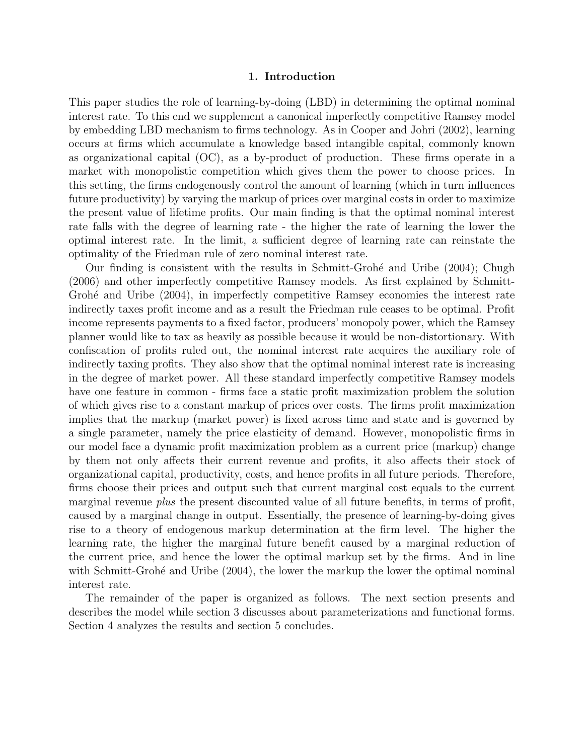# 1. Introduction

This paper studies the role of learning-by-doing (LBD) in determining the optimal nominal interest rate. To this end we supplement a canonical imperfectly competitive Ramsey model by embedding LBD mechanism to firms technology. As in Cooper and Johri (2002), learning occurs at firms which accumulate a knowledge based intangible capital, commonly known as organizational capital (OC), as a by-product of production. These firms operate in a market with monopolistic competition which gives them the power to choose prices. In this setting, the firms endogenously control the amount of learning (which in turn influences future productivity) by varying the markup of prices over marginal costs in order to maximize the present value of lifetime profits. Our main finding is that the optimal nominal interest rate falls with the degree of learning rate - the higher the rate of learning the lower the optimal interest rate. In the limit, a sufficient degree of learning rate can reinstate the optimality of the Friedman rule of zero nominal interest rate.

Our finding is consistent with the results in Schmitt-Grohé and Uribe (2004); Chugh (2006) and other imperfectly competitive Ramsey models. As first explained by Schmitt-Grohé and Uribe (2004), in imperfectly competitive Ramsey economies the interest rate indirectly taxes profit income and as a result the Friedman rule ceases to be optimal. Profit income represents payments to a fixed factor, producers' monopoly power, which the Ramsey planner would like to tax as heavily as possible because it would be non-distortionary. With confiscation of profits ruled out, the nominal interest rate acquires the auxiliary role of indirectly taxing profits. They also show that the optimal nominal interest rate is increasing in the degree of market power. All these standard imperfectly competitive Ramsey models have one feature in common - firms face a static profit maximization problem the solution of which gives rise to a constant markup of prices over costs. The firms profit maximization implies that the markup (market power) is fixed across time and state and is governed by a single parameter, namely the price elasticity of demand. However, monopolistic firms in our model face a dynamic profit maximization problem as a current price (markup) change by them not only affects their current revenue and profits, it also affects their stock of organizational capital, productivity, costs, and hence profits in all future periods. Therefore, firms choose their prices and output such that current marginal cost equals to the current marginal revenue *plus* the present discounted value of all future benefits, in terms of profit, caused by a marginal change in output. Essentially, the presence of learning-by-doing gives rise to a theory of endogenous markup determination at the firm level. The higher the learning rate, the higher the marginal future benefit caused by a marginal reduction of the current price, and hence the lower the optimal markup set by the firms. And in line with Schmitt-Grohé and Uribe (2004), the lower the markup the lower the optimal nominal interest rate.

The remainder of the paper is organized as follows. The next section presents and describes the model while section 3 discusses about parameterizations and functional forms. Section 4 analyzes the results and section 5 concludes.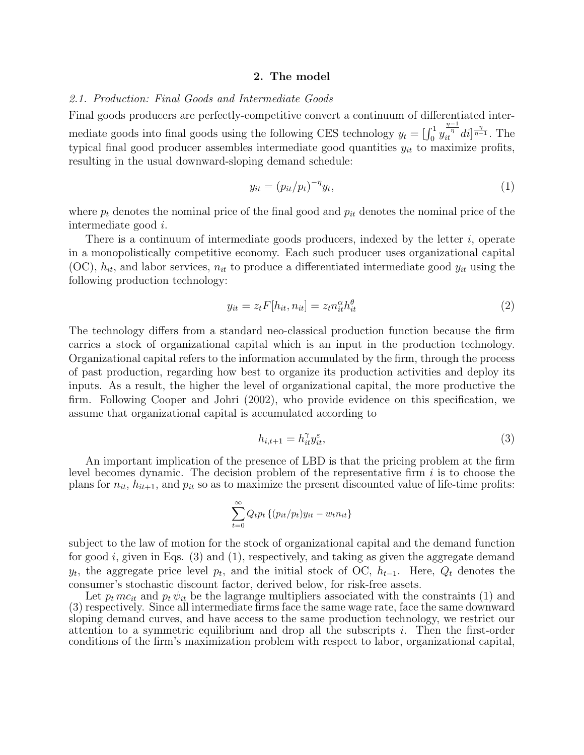#### 2. The model

# *2.1. Production: Final Goods and Intermediate Goods*

Final goods producers are perfectly-competitive convert a continuum of differentiated intermediate goods into final goods using the following CES technology  $y_t = \begin{bmatrix} \int_0^1 y_t \end{bmatrix}$  $\frac{\eta-1}{it^{\eta}}di\frac{\eta}{\eta-1}$ . The typical final good producer assembles intermediate good quantities  $y_{it}$  to maximize profits, resulting in the usual downward-sloping demand schedule:

$$
y_{it} = (p_{it}/p_t)^{-\eta} y_t,\tag{1}
$$

where  $p_t$  denotes the nominal price of the final good and  $p_{it}$  denotes the nominal price of the intermediate good i.

There is a continuum of intermediate goods producers, indexed by the letter  $i$ , operate in a monopolistically competitive economy. Each such producer uses organizational capital  $(OC)$ ,  $h_{it}$ , and labor services,  $n_{it}$  to produce a differentiated intermediate good  $y_{it}$  using the following production technology:

$$
y_{it} = z_t F[h_{it}, n_{it}] = z_t n_{it}^{\alpha} h_{it}^{\theta}
$$
\n
$$
(2)
$$

The technology differs from a standard neo-classical production function because the firm carries a stock of organizational capital which is an input in the production technology. Organizational capital refers to the information accumulated by the firm, through the process of past production, regarding how best to organize its production activities and deploy its inputs. As a result, the higher the level of organizational capital, the more productive the firm. Following Cooper and Johri (2002), who provide evidence on this specification, we assume that organizational capital is accumulated according to

$$
h_{i,t+1} = h_{it}^{\gamma} y_{it}^{\varepsilon},\tag{3}
$$

An important implication of the presence of LBD is that the pricing problem at the firm level becomes dynamic. The decision problem of the representative firm  $i$  is to choose the plans for  $n_{it}$ ,  $h_{it+1}$ , and  $p_{it}$  so as to maximize the present discounted value of life-time profits:

$$
\sum_{t=0}^{\infty} Q_t p_t \left\{ (p_{it}/p_t) y_{it} - w_t n_{it} \right\}
$$

subject to the law of motion for the stock of organizational capital and the demand function for good i, given in Eqs.  $(3)$  and  $(1)$ , respectively, and taking as given the aggregate demand  $y_t$ , the aggregate price level  $p_t$ , and the initial stock of OC,  $h_{t-1}$ . Here,  $Q_t$  denotes the consumer's stochastic discount factor, derived below, for risk-free assets.

Let  $p_t mc_{it}$  and  $p_t \psi_{it}$  be the lagrange multipliers associated with the constraints (1) and (3) respectively. Since all intermediate firms face the same wage rate, face the same downward sloping demand curves, and have access to the same production technology, we restrict our attention to a symmetric equilibrium and drop all the subscripts i. Then the first-order conditions of the firm's maximization problem with respect to labor, organizational capital,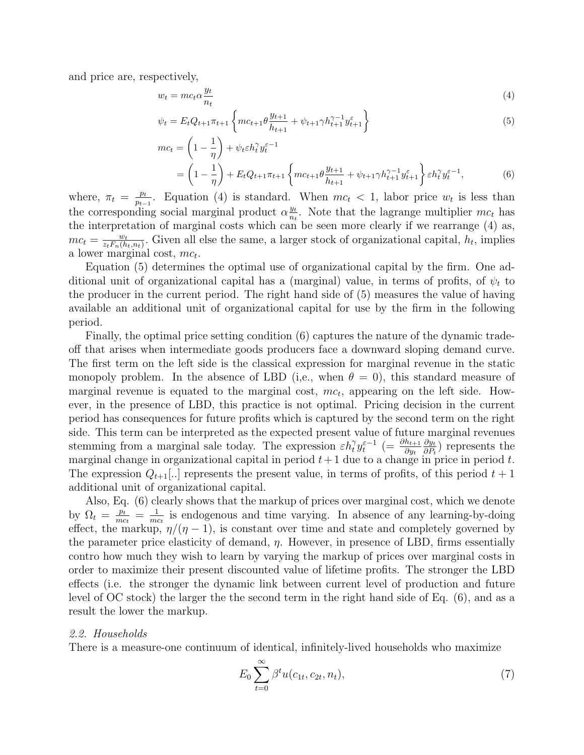and price are, respectively,

$$
w_t = mc_t \alpha \frac{y_t}{n_t} \tag{4}
$$

$$
\psi_t = E_t Q_{t+1} \pi_{t+1} \left\{ mc_{t+1} \theta \frac{y_{t+1}}{h_{t+1}} + \psi_{t+1} \gamma h_{t+1}^{\gamma - 1} y_{t+1}^{\varepsilon} \right\}
$$
\n
$$
\tag{5}
$$

$$
mc_t = \left(1 - \frac{1}{\eta}\right) + \psi_t \varepsilon h_t^{\gamma} y_t^{\varepsilon - 1}
$$
  
=  $\left(1 - \frac{1}{\eta}\right) + E_t Q_{t+1} \pi_{t+1} \left\{mc_{t+1} \theta \frac{y_{t+1}}{h_{t+1}} + \psi_{t+1} \gamma h_{t+1}^{\gamma - 1} y_{t+1}^{\varepsilon}\right\} \varepsilon h_t^{\gamma} y_t^{\varepsilon - 1},$  (6)

where,  $\pi_t = \frac{p_t}{n_t}$  $\frac{p_t}{p_{t-1}}$ . Equation (4) is standard. When  $mc_t < 1$ , labor price  $w_t$  is less than the corresponding social marginal product  $\alpha \frac{y_t}{n_t}$  $\frac{y_t}{n_t}$ . Note that the lagrange multiplier  $mc_t$  has the interpretation of marginal costs which can be seen more clearly if we rearrange (4) as,  $mc_t = \frac{w_t}{z_t F_u(h)}$  $\frac{w_t}{z_t F_n(h_t, n_t)}$ . Given all else the same, a larger stock of organizational capital,  $h_t$ , implies a lower marginal cost,  $mc_t$ .

Equation (5) determines the optimal use of organizational capital by the firm. One additional unit of organizational capital has a (marginal) value, in terms of profits, of  $\psi_t$  to the producer in the current period. The right hand side of (5) measures the value of having available an additional unit of organizational capital for use by the firm in the following period.

Finally, the optimal price setting condition (6) captures the nature of the dynamic tradeoff that arises when intermediate goods producers face a downward sloping demand curve. The first term on the left side is the classical expression for marginal revenue in the static monopoly problem. In the absence of LBD (i,e., when  $\theta = 0$ ), this standard measure of marginal revenue is equated to the marginal cost,  $mc_t$ , appearing on the left side. However, in the presence of LBD, this practice is not optimal. Pricing decision in the current period has consequences for future profits which is captured by the second term on the right side. This term can be interpreted as the expected present value of future marginal revenues stemming from a marginal sale today. The expression  $\varepsilon h_t^{\gamma} y_t^{\varepsilon-1}$  (=  $\frac{\partial h_{t+1}}{\partial y_t}$  $\partial y_t$  $\frac{\partial y_t}{\partial P_t}$  represents the marginal change in organizational capital in period  $t+1$  due to a change in price in period t. The expression  $Q_{t+1}$ . represents the present value, in terms of profits, of this period  $t+1$ additional unit of organizational capital.

Also, Eq. (6) clearly shows that the markup of prices over marginal cost, which we denote by  $\Omega_t = \frac{p_t}{mc}$  $\frac{p_t}{mc_t} = \frac{1}{mc}$  $\frac{1}{mc_t}$  is endogenous and time varying. In absence of any learning-by-doing effect, the markup,  $\eta/(\eta - 1)$ , is constant over time and state and completely governed by the parameter price elasticity of demand,  $\eta$ . However, in presence of LBD, firms essentially contro how much they wish to learn by varying the markup of prices over marginal costs in order to maximize their present discounted value of lifetime profits. The stronger the LBD effects (i.e. the stronger the dynamic link between current level of production and future level of OC stock) the larger the the second term in the right hand side of Eq. (6), and as a result the lower the markup.

### *2.2. Households*

There is a measure-one continuum of identical, infinitely-lived households who maximize

$$
E_0 \sum_{t=0}^{\infty} \beta^t u(c_{1t}, c_{2t}, n_t), \tag{7}
$$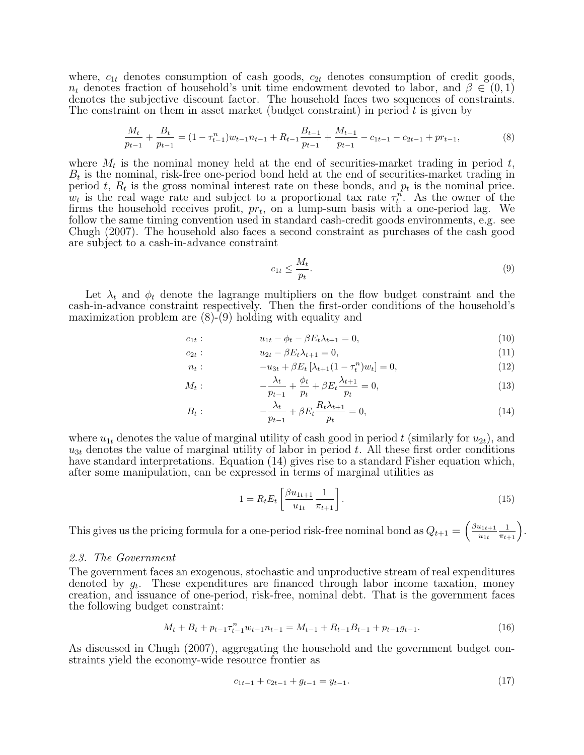where,  $c_{1t}$  denotes consumption of cash goods,  $c_{2t}$  denotes consumption of credit goods,  $n_t$  denotes fraction of household's unit time endowment devoted to labor, and  $\beta \in (0,1)$ denotes the subjective discount factor. The household faces two sequences of constraints. The constraint on them in asset market (budget constraint) in period  $t$  is given by

$$
\frac{M_t}{p_{t-1}} + \frac{B_t}{p_{t-1}} = (1 - \tau_{t-1}^n)w_{t-1}n_{t-1} + R_{t-1}\frac{B_{t-1}}{p_{t-1}} + \frac{M_{t-1}}{p_{t-1}} - c_{1t-1} - c_{2t-1} + pr_{t-1},\tag{8}
$$

where  $M_t$  is the nominal money held at the end of securities-market trading in period t,  $B_t$  is the nominal, risk-free one-period bond held at the end of securities-market trading in period t,  $R_t$  is the gross nominal interest rate on these bonds, and  $p_t$  is the nominal price.  $w_t$  is the real wage rate and subject to a proportional tax rate  $\tau_t^n$ . As the owner of the firms the household receives profit,  $pr_t$ , on a lump-sum basis with a one-period lag. We follow the same timing convention used in standard cash-credit goods environments, e.g. see Chugh (2007). The household also faces a second constraint as purchases of the cash good are subject to a cash-in-advance constraint

$$
c_{1t} \le \frac{M_t}{p_t}.\tag{9}
$$

Let  $\lambda_t$  and  $\phi_t$  denote the lagrange multipliers on the flow budget constraint and the cash-in-advance constraint respectively. Then the first-order conditions of the household's maximization problem are (8)-(9) holding with equality and

$$
c_{1t}: \t u_{1t} - \phi_t - \beta E_t \lambda_{t+1} = 0, \t (10)
$$

$$
c_{2t} : \t u_{2t} - \beta E_t \lambda_{t+1} = 0, \t (11)
$$

$$
n_t: \t -u_{3t} + \beta E_t \left[ \lambda_{t+1} (1 - \tau_t^n) w_t \right] = 0, \t (12)
$$

$$
M_t: \qquad -\frac{\lambda_t}{p_{t-1}} + \frac{\phi_t}{p_t} + \beta E_t \frac{\lambda_{t+1}}{p_t} = 0,\tag{13}
$$

$$
B_t: \qquad -\frac{\lambda_t}{p_{t-1}} + \beta E_t \frac{R_t \lambda_{t+1}}{p_t} = 0,\tag{14}
$$

where  $u_{1t}$  denotes the value of marginal utility of cash good in period t (similarly for  $u_{2t}$ ), and  $u_{3t}$  denotes the value of marginal utility of labor in period t. All these first order conditions have standard interpretations. Equation (14) gives rise to a standard Fisher equation which, after some manipulation, can be expressed in terms of marginal utilities as

$$
1 = R_t E_t \left[ \frac{\beta u_{1t+1}}{u_{1t}} \frac{1}{\pi_{t+1}} \right].
$$
\n(15)

This gives us the pricing formula for a one-period risk-free nominal bond as  $Q_{t+1} = \left(\frac{\beta u_{1t+1}}{u_{1t}}\right)$  $u_{1t}$  $\frac{1}{\pi_{t+1}}\Big).$ 

#### *2.3. The Government*

The government faces an exogenous, stochastic and unproductive stream of real expenditures denoted by  $g_t$ . These expenditures are financed through labor income taxation, money creation, and issuance of one-period, risk-free, nominal debt. That is the government faces the following budget constraint:

$$
M_t + B_t + p_{t-1} \tau_{t-1}^n w_{t-1} n_{t-1} = M_{t-1} + R_{t-1} B_{t-1} + p_{t-1} g_{t-1}.
$$
\n
$$
(16)
$$

As discussed in Chugh (2007), aggregating the household and the government budget constraints yield the economy-wide resource frontier as

$$
c_{1t-1} + c_{2t-1} + g_{t-1} = y_{t-1}.\tag{17}
$$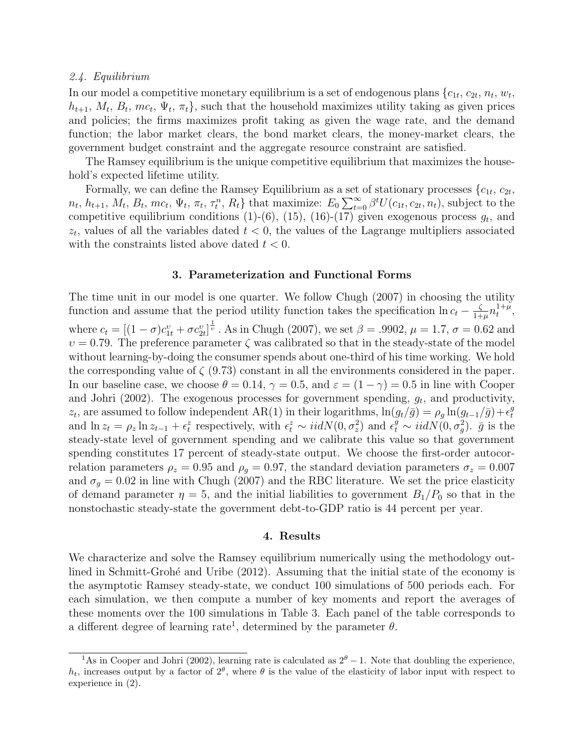# *2.4. Equilibrium*

In our model a competitive monetary equilibrium is a set of endogenous plans  $\{c_{1t}, c_{2t}, n_t, w_t,$  $h_{t+1}, M_t, B_t, mc_t, \Psi_t, \pi_t$ , such that the household maximizes utility taking as given prices and policies; the firms maximizes profit taking as given the wage rate, and the demand function; the labor market clears, the bond market clears, the money-market clears, the government budget constraint and the aggregate resource constraint are satisfied.

The Ramsey equilibrium is the unique competitive equilibrium that maximizes the household's expected lifetime utility.

Formally, we can define the Ramsey Equilibrium as a set of stationary processes  $\{c_{1t}, c_{2t},$  $n_t, h_{t+1}, M_t, B_t, mc_t, \Psi_t, \pi_t, \tau_t^n, R_t$  that maximize:  $E_0 \sum_{t=0}^{\infty} \beta^t U(c_{1t}, c_{2t}, n_t)$ , subject to the competitive equilibrium conditions  $(1)-(6)$ ,  $(15)$ ,  $(16)-(17)$  given exogenous process  $g_t$ , and  $z_t$ , values of all the variables dated  $t < 0$ , the values of the Lagrange multipliers associated with the constraints listed above dated  $t < 0$ .

# 3. Parameterization and Functional Forms

The time unit in our model is one quarter. We follow Chugh (2007) in choosing the utility function and assume that the period utility function takes the specification  $\ln c_t - \frac{\zeta}{1+\zeta}$  $\frac{\zeta}{1+\mu}n_t^{1+\mu}$  $_{t}^{1+\mu},$ where  $c_t = [(1 - \sigma)c_{1t}^v + \sigma c_{2t}^v]^\frac{1}{v}$ . As in Chugh (2007), we set  $\beta = .9902$ ,  $\mu = 1.7$ ,  $\sigma = 0.62$  and  $v = 0.79$ . The preference parameter  $\zeta$  was calibrated so that in the steady-state of the model without learning-by-doing the consumer spends about one-third of his time working. We hold the corresponding value of  $\zeta$  (9.73) constant in all the environments considered in the paper. In our baseline case, we choose  $\theta = 0.14$ ,  $\gamma = 0.5$ , and  $\varepsilon = (1 - \gamma) = 0.5$  in line with Cooper and Johri (2002). The exogenous processes for government spending,  $g_t$ , and productivity,  $z_t$ , are assumed to follow independent AR(1) in their logarithms,  $\ln(g_t/\bar{g}) = \rho_g \ln(g_{t-1}/\bar{g}) + \epsilon_t^g$ t and  $\ln z_t = \rho_z \ln z_{t-1} + \epsilon_t^z$  respectively, with  $\epsilon_t^z \sim \text{iidN}(0, \sigma_z^2)$  and  $\epsilon_t^{\bar{g}} \sim \text{iidN}(0, \sigma_g^2)$ .  $\bar{g}$  is the steady-state level of government spending and we calibrate this value so that government spending constitutes 17 percent of steady-state output. We choose the first-order autocorrelation parameters  $\rho_z = 0.95$  and  $\rho_g = 0.97$ , the standard deviation parameters  $\sigma_z = 0.007$ and  $\sigma_g = 0.02$  in line with Chugh (2007) and the RBC literature. We set the price elasticity of demand parameter  $\eta = 5$ , and the initial liabilities to government  $B_1/P_0$  so that in the nonstochastic steady-state the government debt-to-GDP ratio is 44 percent per year.

### 4. Results

We characterize and solve the Ramsey equilibrium numerically using the methodology outlined in Schmitt-Grohé and Uribe (2012). Assuming that the initial state of the economy is the asymptotic Ramsey steady-state, we conduct 100 simulations of 500 periods each. For each simulation, we then compute a number of key moments and report the averages of these moments over the 100 simulations in Table 3. Each panel of the table corresponds to a different degree of learning rate<sup>1</sup>, determined by the parameter  $\theta$ .

<sup>&</sup>lt;sup>1</sup>As in Cooper and Johri (2002), learning rate is calculated as  $2^{\theta} - 1$ . Note that doubling the experience,  $h_t$ , increases output by a factor of  $2^{\theta}$ , where  $\theta$  is the value of the elasticity of labor input with respect to experience in (2).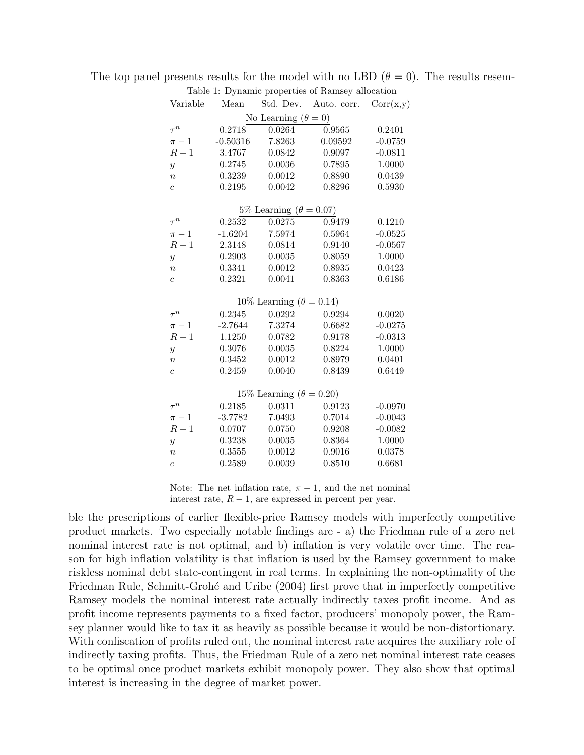| Table 1: Dynamic properties of Ramsey allocation |                  |                  |                  |                  |
|--------------------------------------------------|------------------|------------------|------------------|------------------|
| Variable                                         | Mean             | Std. Dev.        | Auto. corr.      | Corr(x,y)        |
| No Learning $(\theta = 0)$                       |                  |                  |                  |                  |
| $\tau^n$                                         | 0.2718           | 0.0264           | 0.9565           | 0.2401           |
| $\pi - 1$                                        | $-0.50316$       | 7.8263           | 0.09592          | $-0.0759$        |
| $R-1$                                            | 3.4767           | 0.0842           | 0.9097           | $-0.0811$        |
| $\boldsymbol{y}$                                 | 0.2745           | 0.0036           | 0.7895           | 1.0000           |
| $\boldsymbol{n}$                                 | 0.3239           | 0.0012           | 0.8890           | 0.0439           |
| $\overline{c}$                                   | 0.2195           | 0.0042           | 0.8296           | 0.5930           |
| 5% Learning ( $\theta = 0.07$ )                  |                  |                  |                  |                  |
| $\tau^n$                                         | 0.2532           | 0.0275           | 0.9479           | 0.1210           |
| $\pi - 1$                                        | $-1.6204$        | 7.5974           | 0.5964           | $-0.0525$        |
| $R-1$                                            | 2.3148           | 0.0814           | 0.9140           | $-0.0567$        |
| $\boldsymbol{y}$                                 | 0.2903           | 0.0035           | 0.8059           | 1.0000           |
| $\boldsymbol{n}$                                 | 0.3341           | 0.0012           | 0.8935           | 0.0423           |
| $\overline{c}$                                   | 0.2321           | 0.0041           | 0.8363           | 0.6186           |
|                                                  |                  |                  |                  |                  |
| 10\% Learning $(\theta = 0.14)$                  |                  |                  |                  |                  |
| $\tau^n$                                         | 0.2345           | 0.0292           | 0.9294           | 0.0020           |
| $\pi - 1$                                        | $-2.7644$        | 7.3274           | 0.6682           | $-0.0275$        |
| $R-1$                                            | 1.1250           | 0.0782           | 0.9178           | $-0.0313$        |
| $\boldsymbol{y}$                                 | 0.3076           | 0.0035           | 0.8224           | 1.0000           |
| $\boldsymbol{n}$                                 | 0.3452           | 0.0012           | 0.8979           | 0.0401           |
| $\overline{c}$                                   | 0.2459           | 0.0040           | 0.8439           | 0.6449           |
| 15\% Learning $(\theta = 0.20)$                  |                  |                  |                  |                  |
| $\tau^n$                                         | 0.2185           | 0.0311           | 0.9123           | $-0.0970$        |
|                                                  |                  |                  |                  |                  |
| $\pi-1$<br>$R-1$                                 | $-3.7782$        | 7.0493           | 0.7014           | $-0.0043$        |
|                                                  | 0.0707           | 0.0750           | 0.9208           | $-0.0082$        |
| $\boldsymbol{y}$                                 | 0.3238           | 0.0035<br>0.0012 | 0.8364           | 1.0000           |
| $\overline{n}$                                   | 0.3555<br>0.2589 | 0.0039           | 0.9016<br>0.8510 | 0.0378<br>0.6681 |
| $\overline{c}$                                   |                  |                  |                  |                  |

The top panel presents results for the model with no LBD  $(\theta = 0)$ . The results resem-

Note: The net inflation rate,  $\pi - 1$ , and the net nominal interest rate,  $R - 1$ , are expressed in percent per year.

ble the prescriptions of earlier flexible-price Ramsey models with imperfectly competitive product markets. Two especially notable findings are - a) the Friedman rule of a zero net nominal interest rate is not optimal, and b) inflation is very volatile over time. The reason for high inflation volatility is that inflation is used by the Ramsey government to make riskless nominal debt state-contingent in real terms. In explaining the non-optimality of the Friedman Rule, Schmitt-Grohé and Uribe (2004) first prove that in imperfectly competitive Ramsey models the nominal interest rate actually indirectly taxes profit income. And as profit income represents payments to a fixed factor, producers' monopoly power, the Ramsey planner would like to tax it as heavily as possible because it would be non-distortionary. With confiscation of profits ruled out, the nominal interest rate acquires the auxiliary role of indirectly taxing profits. Thus, the Friedman Rule of a zero net nominal interest rate ceases to be optimal once product markets exhibit monopoly power. They also show that optimal interest is increasing in the degree of market power.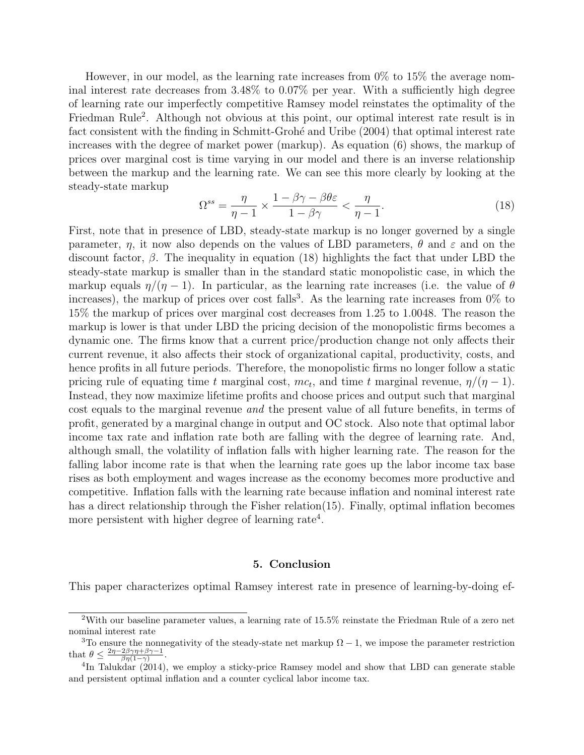However, in our model, as the learning rate increases from 0% to 15% the average nominal interest rate decreases from 3.48% to 0.07% per year. With a sufficiently high degree of learning rate our imperfectly competitive Ramsey model reinstates the optimality of the Friedman Rule<sup>2</sup>. Although not obvious at this point, our optimal interest rate result is in fact consistent with the finding in Schmitt-Grohé and Uribe (2004) that optimal interest rate increases with the degree of market power (markup). As equation (6) shows, the markup of prices over marginal cost is time varying in our model and there is an inverse relationship between the markup and the learning rate. We can see this more clearly by looking at the steady-state markup

$$
\Omega^{ss} = \frac{\eta}{\eta - 1} \times \frac{1 - \beta\gamma - \beta\theta\varepsilon}{1 - \beta\gamma} < \frac{\eta}{\eta - 1}.\tag{18}
$$

First, note that in presence of LBD, steady-state markup is no longer governed by a single parameter,  $\eta$ , it now also depends on the values of LBD parameters,  $\theta$  and  $\varepsilon$  and on the discount factor,  $\beta$ . The inequality in equation (18) highlights the fact that under LBD the steady-state markup is smaller than in the standard static monopolistic case, in which the markup equals  $\eta/(\eta - 1)$ . In particular, as the learning rate increases (i.e. the value of  $\theta$ increases), the markup of prices over cost falls<sup>3</sup>. As the learning rate increases from  $0\%$  to 15% the markup of prices over marginal cost decreases from 1.25 to 1.0048. The reason the markup is lower is that under LBD the pricing decision of the monopolistic firms becomes a dynamic one. The firms know that a current price/production change not only affects their current revenue, it also affects their stock of organizational capital, productivity, costs, and hence profits in all future periods. Therefore, the monopolistic firms no longer follow a static pricing rule of equating time t marginal cost,  $mc_t$ , and time t marginal revenue,  $\eta/(\eta-1)$ . Instead, they now maximize lifetime profits and choose prices and output such that marginal cost equals to the marginal revenue *and* the present value of all future benefits, in terms of profit, generated by a marginal change in output and OC stock. Also note that optimal labor income tax rate and inflation rate both are falling with the degree of learning rate. And, although small, the volatility of inflation falls with higher learning rate. The reason for the falling labor income rate is that when the learning rate goes up the labor income tax base rises as both employment and wages increase as the economy becomes more productive and competitive. Inflation falls with the learning rate because inflation and nominal interest rate has a direct relationship through the Fisher relation(15). Finally, optimal inflation becomes more persistent with higher degree of learning rate<sup>4</sup>.

#### 5. Conclusion

This paper characterizes optimal Ramsey interest rate in presence of learning-by-doing ef-

<sup>&</sup>lt;sup>2</sup>With our baseline parameter values, a learning rate of  $15.5\%$  reinstate the Friedman Rule of a zero net nominal interest rate

<sup>&</sup>lt;sup>3</sup>To ensure the nonnegativity of the steady-state net markup  $\Omega - 1$ , we impose the parameter restriction that  $\theta \leq \frac{2\eta - 2\beta\gamma\eta + \beta\gamma - 1}{\beta\eta(1-\gamma)}$ .

<sup>&</sup>lt;sup>4</sup>In Talukdar (2014), we employ a sticky-price Ramsey model and show that LBD can generate stable and persistent optimal inflation and a counter cyclical labor income tax.